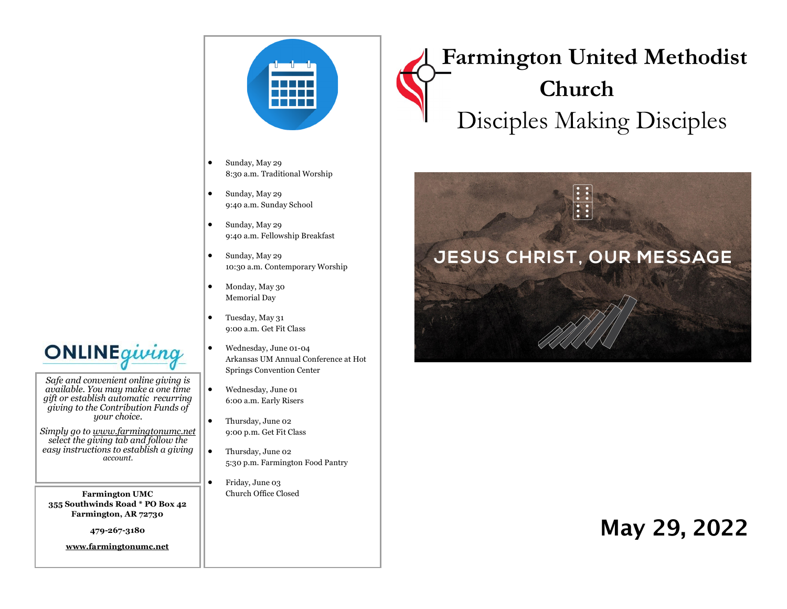

- Sunday, May 29 8:30 a.m. Traditional Worship
- Sunday, May 29 9:40 a.m. Sunday School
- Sunday, May 29 9:40 a.m. Fellowship Breakfast
- Sunday, May 29 10:30 a.m. Contemporary Worship
- Monday, May 30 Memorial Day
- Tuesday, May 31 9:00 a.m. Get Fit Class
- Wednesday, June 01-04 Arkansas UM Annual Conference at Hot Springs Convention Center
- Wednesday, June 01 6:00 a.m. Early Risers
- Thursday, June 02 9:00 p.m. Get Fit Class
- Thursday, June 02 5:30 p.m. Farmington Food Pantry
	- Friday, June 03 Church Office Closed

# **Farmington United Methodist Church** Disciples Making Disciples



## May 29, 2022

**ONLINE**giving

*Safe and convenient online giving is available. You may make a one time gift or establish automatic recurring giving to the Contribution Funds of your choice.* 

*Simply go to www.farmingtonumc.net select the giving tab and follow the easy instructions to establish a giving account.* 

**Farmington UMC 355 Southwinds Road \* PO Box 42 Farmington, AR 72730**

**479-267-3180** 

**www.farmingtonumc.net**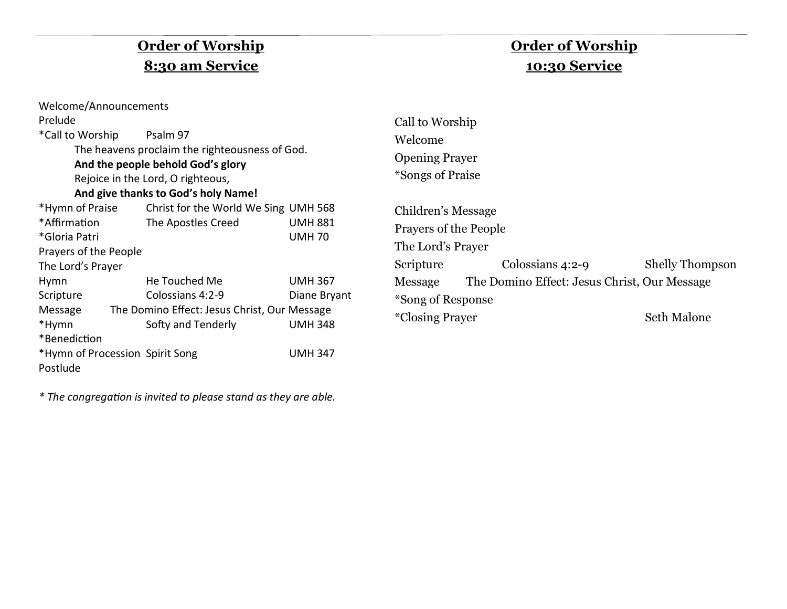## **Order of Worship 8:30 am Service**

## **Order of Worship 10:30 Service**

| Welcome/Announcements                                                                                               |                                                                    |                                |                                                                  |                                              |                        |
|---------------------------------------------------------------------------------------------------------------------|--------------------------------------------------------------------|--------------------------------|------------------------------------------------------------------|----------------------------------------------|------------------------|
| Prelude                                                                                                             |                                                                    |                                | Call to Worship<br>Welcome<br><b>Opening Prayer</b>              |                                              |                        |
| *Call to Worship<br>Psalm 97<br>The heavens proclaim the righteousness of God.<br>And the people behold God's glory |                                                                    |                                |                                                                  |                                              |                        |
| Rejoice in the Lord, O righteous,                                                                                   |                                                                    |                                | <i>*Songs of Praise</i>                                          |                                              |                        |
|                                                                                                                     | And give thanks to God's holy Name!                                |                                |                                                                  |                                              |                        |
| *Hymn of Praise<br>*Affirmation<br>*Gloria Patri<br>Prayers of the People                                           | Christ for the World We Sing UMH 568<br>The Apostles Creed         | <b>UMH 881</b><br><b>UMH70</b> | Children's Message<br>Prayers of the People<br>The Lord's Prayer |                                              |                        |
| The Lord's Prayer                                                                                                   |                                                                    |                                | Scripture                                                        | Colossians $4:2-9$                           | <b>Shelly Thompson</b> |
| Hymn<br>Scripture                                                                                                   | He Touched Me<br>Colossians 4:2-9                                  | <b>UMH 367</b><br>Diane Bryant | Message<br>*Song of Response                                     | The Domino Effect: Jesus Christ, Our Message |                        |
| Message<br>*Hymn                                                                                                    | The Domino Effect: Jesus Christ, Our Message<br>Softy and Tenderly | <b>UMH 348</b>                 | <i>*Closing Prayer</i>                                           |                                              | Seth Malone            |
| *Benediction                                                                                                        |                                                                    |                                |                                                                  |                                              |                        |
| *Hymn of Procession Spirit Song<br><b>UMH 347</b><br>Postlude                                                       |                                                                    |                                |                                                                  |                                              |                        |

*\* The congregation is invited to please stand as they are able.*